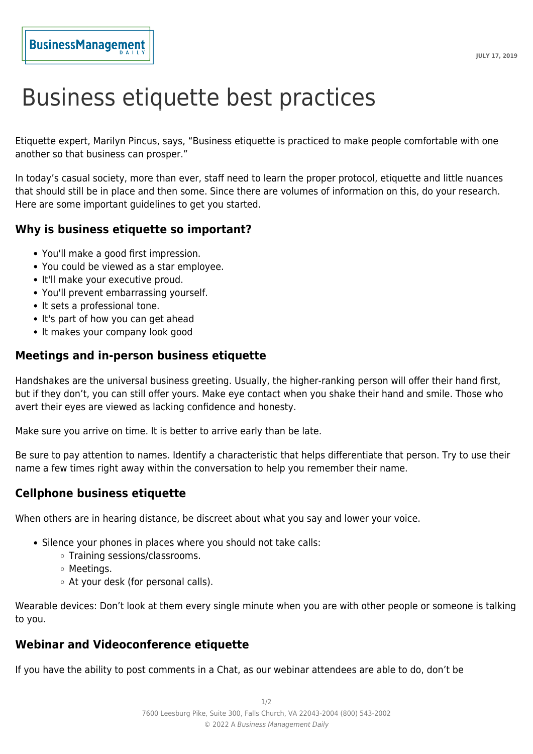## **BusinessManagement**

# Business etiquette best practices

Etiquette expert, Marilyn Pincus, says, "Business etiquette is practiced to make people comfortable with one another so that business can prosper."

In today's casual society, more than ever, staff need to learn the proper protocol, etiquette and little nuances that should still be in place and then some. Since there are volumes of information on this, do your research. Here are some important guidelines to get you started.

#### **Why is business etiquette so important?**

- You'll make a good first impression.
- You could be viewed as a star employee.
- It'll make your executive proud.
- You'll prevent embarrassing yourself.
- It sets a professional tone.
- It's part of how you can get ahead
- It makes your company look good

#### **Meetings and in-person business etiquette**

Handshakes are the universal business greeting. Usually, the higher-ranking person will offer their hand first, but if they don't, you can still offer yours. Make eye contact when you shake their hand and smile. Those who avert their eyes are viewed as lacking confidence and honesty.

Make sure you arrive on time. It is better to arrive early than be late.

Be sure to pay attention to names. Identify a characteristic that helps differentiate that person. Try to use their name a few times right away within the conversation to help you remember their name.

#### **Cellphone business etiquette**

When others are in hearing distance, be discreet about what you say and lower your voice.

- Silence your phones in places where you should not take calls:
	- Training sessions/classrooms.
	- Meetings.
	- At your desk (for personal calls).

Wearable devices: Don't look at them every single minute when you are with other people or someone is talking to you.

### **Webinar and Videoconference etiquette**

If you have the ability to post comments in a Chat, as our webinar attendees are able to do, don't be